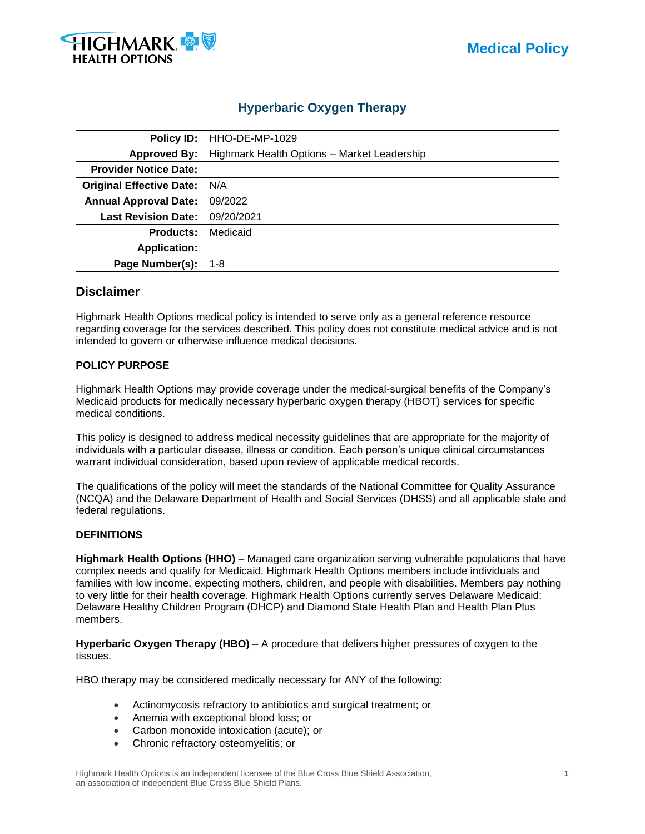



# **Hyperbaric Oxygen Therapy**

| Policy ID:                      | HHO-DE-MP-1029                              |
|---------------------------------|---------------------------------------------|
| <b>Approved By:</b>             | Highmark Health Options - Market Leadership |
| <b>Provider Notice Date:</b>    |                                             |
| <b>Original Effective Date:</b> | N/A                                         |
| <b>Annual Approval Date:</b>    | 09/2022                                     |
| <b>Last Revision Date:</b>      | 09/20/2021                                  |
| <b>Products:</b>                | Medicaid                                    |
| <b>Application:</b>             |                                             |
| Page Number(s):                 | $1 - 8$                                     |

### **Disclaimer**

Highmark Health Options medical policy is intended to serve only as a general reference resource regarding coverage for the services described. This policy does not constitute medical advice and is not intended to govern or otherwise influence medical decisions.

#### **POLICY PURPOSE**

Highmark Health Options may provide coverage under the medical-surgical benefits of the Company's Medicaid products for medically necessary hyperbaric oxygen therapy (HBOT) services for specific medical conditions.

This policy is designed to address medical necessity guidelines that are appropriate for the majority of individuals with a particular disease, illness or condition. Each person's unique clinical circumstances warrant individual consideration, based upon review of applicable medical records.

The qualifications of the policy will meet the standards of the National Committee for Quality Assurance (NCQA) and the Delaware Department of Health and Social Services (DHSS) and all applicable state and federal regulations.

### **DEFINITIONS**

**Highmark Health Options (HHO)** – Managed care organization serving vulnerable populations that have complex needs and qualify for Medicaid. Highmark Health Options members include individuals and families with low income, expecting mothers, children, and people with disabilities. Members pay nothing to very little for their health coverage. Highmark Health Options currently serves Delaware Medicaid: Delaware Healthy Children Program (DHCP) and Diamond State Health Plan and Health Plan Plus members.

**Hyperbaric Oxygen Therapy (HBO)** – A procedure that delivers higher pressures of oxygen to the tissues.

HBO therapy may be considered medically necessary for ANY of the following:

- Actinomycosis refractory to antibiotics and surgical treatment; or
- Anemia with exceptional blood loss; or
- Carbon monoxide intoxication (acute); or
- Chronic refractory osteomyelitis; or

Highmark Health Options is an independent licensee of the Blue Cross Blue Shield Association, **1** an association of independent Blue Cross Blue Shield Plans.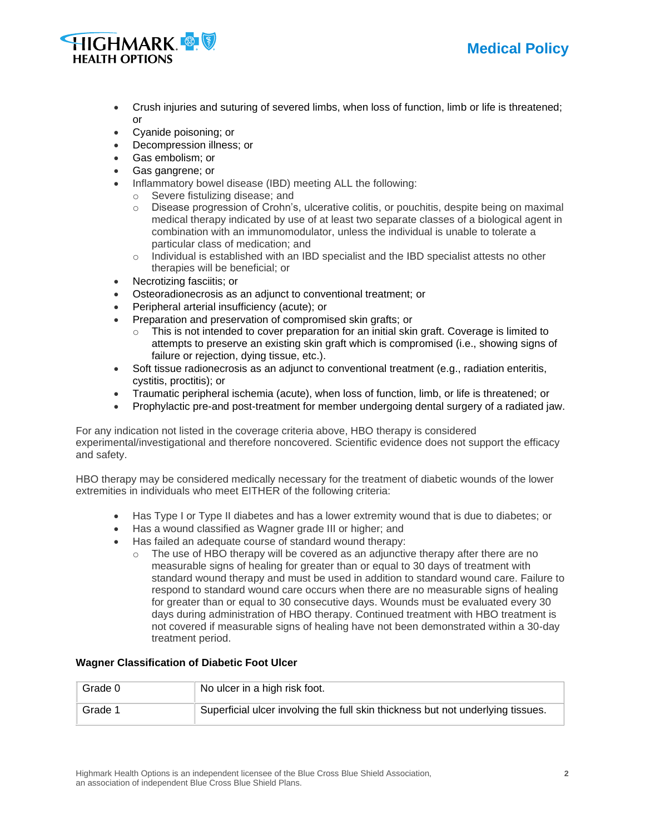



- Crush injuries and suturing of severed limbs, when loss of function, limb or life is threatened; or
- Cyanide poisoning; or
- Decompression illness; or
- Gas embolism; or
- Gas gangrene; or
- Inflammatory bowel disease (IBD) meeting ALL the following:
	- o Severe fistulizing disease; and
	- $\circ$  Disease progression of Crohn's, ulcerative colitis, or pouchitis, despite being on maximal medical therapy indicated by use of at least two separate classes of a biological agent in combination with an immunomodulator, unless the individual is unable to tolerate a particular class of medication; and
	- $\circ$  Individual is established with an IBD specialist and the IBD specialist attests no other therapies will be beneficial; or
- Necrotizing fasciitis; or
- Osteoradionecrosis as an adjunct to conventional treatment; or
- Peripheral arterial insufficiency (acute); or
- Preparation and preservation of compromised skin grafts; or
	- $\circ$  This is not intended to cover preparation for an initial skin graft. Coverage is limited to attempts to preserve an existing skin graft which is compromised (i.e., showing signs of failure or rejection, dying tissue, etc.).
- Soft tissue radionecrosis as an adjunct to conventional treatment (e.g., radiation enteritis, cystitis, proctitis); or
- Traumatic peripheral ischemia (acute), when loss of function, limb, or life is threatened; or
- Prophylactic pre-and post-treatment for member undergoing dental surgery of a radiated jaw.

For any indication not listed in the coverage criteria above, HBO therapy is considered experimental/investigational and therefore noncovered. Scientific evidence does not support the efficacy and safety.

HBO therapy may be considered medically necessary for the treatment of diabetic wounds of the lower extremities in individuals who meet EITHER of the following criteria:

- Has Type I or Type II diabetes and has a lower extremity wound that is due to diabetes; or
- Has a wound classified as Wagner grade III or higher; and
- Has failed an adequate course of standard wound therapy:
	- $\circ$  The use of HBO therapy will be covered as an adjunctive therapy after there are no measurable signs of healing for greater than or equal to 30 days of treatment with standard wound therapy and must be used in addition to standard wound care. Failure to respond to standard wound care occurs when there are no measurable signs of healing for greater than or equal to 30 consecutive days. Wounds must be evaluated every 30 days during administration of HBO therapy. Continued treatment with HBO treatment is not covered if measurable signs of healing have not been demonstrated within a 30-day treatment period.

### **Wagner Classification of Diabetic Foot Ulcer**

| Grade 0 | No ulcer in a high risk foot.                                                   |
|---------|---------------------------------------------------------------------------------|
| Grade 1 | Superficial ulcer involving the full skin thickness but not underlying tissues. |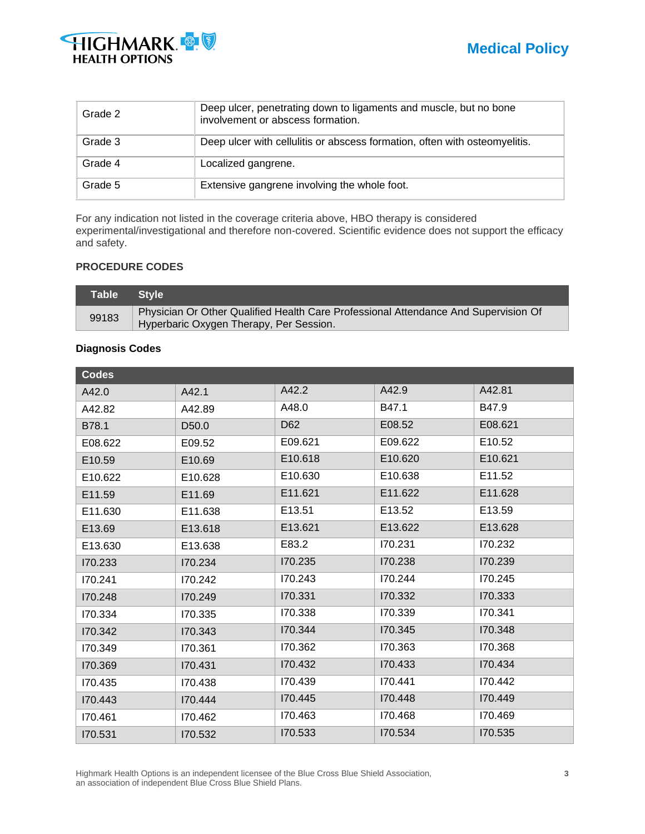



| Grade 2 | Deep ulcer, penetrating down to ligaments and muscle, but no bone<br>involvement or abscess formation. |
|---------|--------------------------------------------------------------------------------------------------------|
| Grade 3 | Deep ulcer with cellulitis or abscess formation, often with osteomyelitis.                             |
| Grade 4 | Localized gangrene.                                                                                    |
| Grade 5 | Extensive gangrene involving the whole foot.                                                           |

For any indication not listed in the coverage criteria above, HBO therapy is considered experimental/investigational and therefore non-covered. Scientific evidence does not support the efficacy and safety.

## **PROCEDURE CODES**

| Table Style |                                                                                     |
|-------------|-------------------------------------------------------------------------------------|
| 99183       | Physician Or Other Qualified Health Care Professional Attendance And Supervision Of |
|             | Hyperbaric Oxygen Therapy, Per Session.                                             |

#### **Diagnosis Codes**

| <b>Codes</b> |                   |         |         |         |
|--------------|-------------------|---------|---------|---------|
| A42.0        | A42.1             | A42.2   | A42.9   | A42.81  |
| A42.82       | A42.89            | A48.0   | B47.1   | B47.9   |
| B78.1        | D <sub>50.0</sub> | D62     | E08.52  | E08.621 |
| E08.622      | E09.52            | E09.621 | E09.622 | E10.52  |
| E10.59       | E10.69            | E10.618 | E10.620 | E10.621 |
| E10.622      | E10.628           | E10.630 | E10.638 | E11.52  |
| E11.59       | E11.69            | E11.621 | E11.622 | E11.628 |
| E11.630      | E11.638           | E13.51  | E13.52  | E13.59  |
| E13.69       | E13.618           | E13.621 | E13.622 | E13.628 |
| E13.630      | E13.638           | E83.2   | 170.231 | 170.232 |
| 170.233      | 170.234           | 170.235 | 170.238 | 170.239 |
| 170.241      | 170.242           | 170.243 | 170.244 | 170.245 |
| 170.248      | 170.249           | 170.331 | 170.332 | 170.333 |
| 170.334      | 170.335           | 170.338 | 170.339 | 170.341 |
| 170.342      | 170.343           | 170.344 | 170.345 | 170.348 |
| 170.349      | 170.361           | 170.362 | 170.363 | 170.368 |
| 170.369      | 170.431           | 170.432 | 170.433 | 170.434 |
| 170.435      | 170.438           | 170.439 | 170.441 | 170.442 |
| 170.443      | 170.444           | 170.445 | 170.448 | 170.449 |
| 170.461      | 170.462           | 170.463 | 170.468 | 170.469 |
| 170.531      | 170.532           | 170.533 | 170.534 | I70.535 |

Highmark Health Options is an independent licensee of the Blue Cross Blue Shield Association, **3** an association of independent Blue Cross Blue Shield Plans.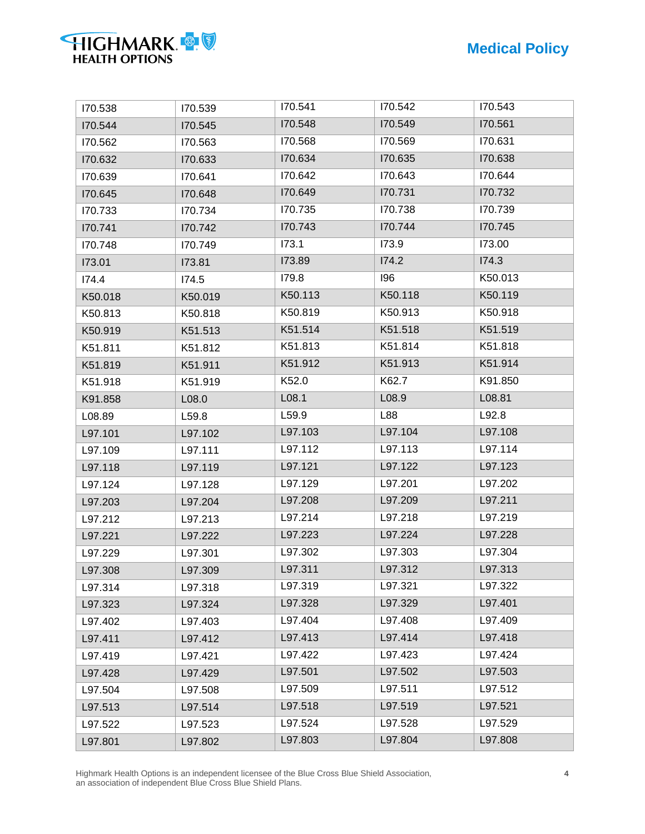| 170.538 | I70.539 | 170.541 | 170.542 | 170.543 |
|---------|---------|---------|---------|---------|
| 170.544 | I70.545 | 170.548 | 170.549 | 170.561 |
| 170.562 | 170.563 | 170.568 | I70.569 | 170.631 |
| 170.632 | 170.633 | 170.634 | 170.635 | 170.638 |
| 170.639 | 170.641 | 170.642 | 170.643 | 170.644 |
| I70.645 | 170.648 | 170.649 | 170.731 | 170.732 |
| 170.733 | 170.734 | 170.735 | 170.738 | 170.739 |
| 170.741 | 170.742 | 170.743 | 170.744 | 170.745 |
| 170.748 | 170.749 | 173.1   | 173.9   | 173.00  |
| 173.01  | 173.81  | 173.89  | 174.2   | 174.3   |
| 174.4   | 174.5   | 179.8   | 196     | K50.013 |
| K50.018 | K50.019 | K50.113 | K50.118 | K50.119 |
| K50.813 | K50.818 | K50.819 | K50.913 | K50.918 |
| K50.919 | K51.513 | K51.514 | K51.518 | K51.519 |
| K51.811 | K51.812 | K51.813 | K51.814 | K51.818 |
| K51.819 | K51.911 | K51.912 | K51.913 | K51.914 |
| K51.918 | K51.919 | K52.0   | K62.7   | K91.850 |
| K91.858 | L08.0   | L08.1   | L08.9   | L08.81  |
| L08.89  | L59.8   | L59.9   | L88     | L92.8   |
| L97.101 | L97.102 | L97.103 | L97.104 | L97.108 |
| L97.109 | L97.111 | L97.112 | L97.113 | L97.114 |
| L97.118 | L97.119 | L97.121 | L97.122 | L97.123 |
| L97.124 | L97.128 | L97.129 | L97.201 | L97.202 |
| L97.203 | L97.204 | L97.208 | L97.209 | L97.211 |
| L97.212 | L97.213 | L97.214 | L97.218 | L97.219 |
| L97.221 | L97.222 | L97.223 | L97.224 | L97.228 |
| L97.229 | L97.301 | L97.302 | L97.303 | L97.304 |
| L97.308 | L97.309 | L97.311 | L97.312 | L97.313 |
| L97.314 | L97.318 | L97.319 | L97.321 | L97.322 |
| L97.323 | L97.324 | L97.328 | L97.329 | L97.401 |
| L97.402 | L97.403 | L97.404 | L97.408 | L97.409 |
| L97.411 | L97.412 | L97.413 | L97.414 | L97.418 |
| L97.419 | L97.421 | L97.422 | L97.423 | L97.424 |
| L97.428 | L97.429 | L97.501 | L97.502 | L97.503 |
| L97.504 | L97.508 | L97.509 | L97.511 | L97.512 |
| L97.513 | L97.514 | L97.518 | L97.519 | L97.521 |
| L97.522 | L97.523 | L97.524 | L97.528 | L97.529 |
| L97.801 | L97.802 | L97.803 | L97.804 | L97.808 |
|         |         |         |         |         |

Highmark Health Options is an independent licensee of the Blue Cross Blue Shield Association, **4** an association of independent Blue Cross Blue Shield Plans.

**HIGHMARK**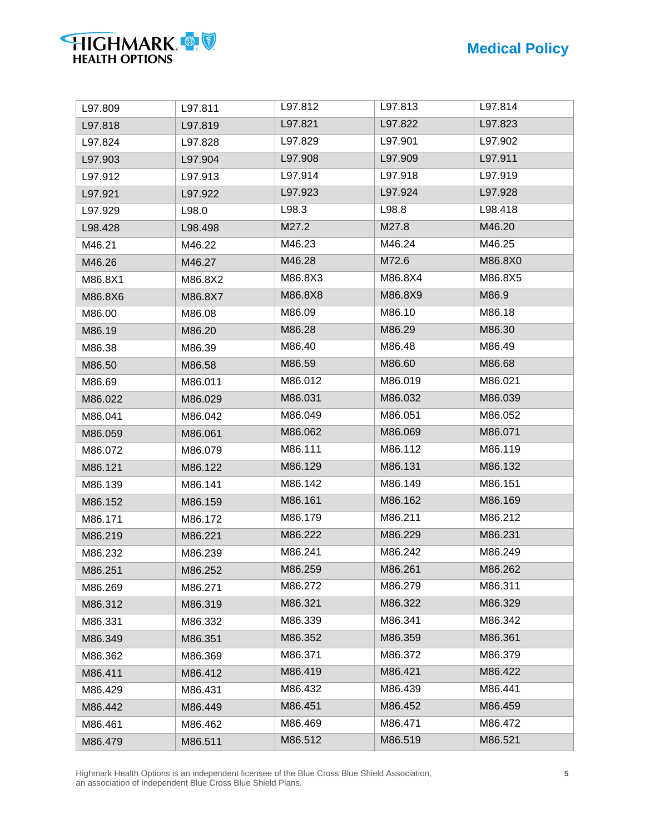| L97.809 | L97.811 | L97.812 | L97.813 | L97.814 |
|---------|---------|---------|---------|---------|
| L97.818 | L97.819 | L97.821 | L97.822 | L97.823 |
| L97.824 | L97.828 | L97.829 | L97.901 | L97.902 |
| L97.903 | L97.904 | L97.908 | L97.909 | L97.911 |
| L97.912 | L97.913 | L97.914 | L97.918 | L97.919 |
| L97.921 | L97.922 | L97.923 | L97.924 | L97.928 |
| L97.929 | L98.0   | L98.3   | L98.8   | L98.418 |
| L98.428 | L98.498 | M27.2   | M27.8   | M46.20  |
| M46.21  | M46.22  | M46.23  | M46.24  | M46.25  |
| M46.26  | M46.27  | M46.28  | M72.6   | M86.8X0 |
| M86.8X1 | M86.8X2 | M86.8X3 | M86.8X4 | M86.8X5 |
| M86.8X6 | M86.8X7 | M86.8X8 | M86.8X9 | M86.9   |
| M86.00  | M86.08  | M86.09  | M86.10  | M86.18  |
| M86.19  | M86.20  | M86.28  | M86.29  | M86.30  |
| M86.38  | M86.39  | M86.40  | M86.48  | M86.49  |
| M86.50  | M86.58  | M86.59  | M86.60  | M86.68  |
| M86.69  | M86.011 | M86.012 | M86.019 | M86.021 |
| M86.022 | M86.029 | M86.031 | M86.032 | M86.039 |
| M86.041 | M86.042 | M86.049 | M86.051 | M86.052 |
| M86.059 | M86.061 | M86.062 | M86.069 | M86.071 |
| M86.072 | M86.079 | M86.111 | M86.112 | M86.119 |
| M86.121 | M86.122 | M86.129 | M86.131 | M86.132 |
| M86.139 | M86.141 | M86.142 | M86.149 | M86.151 |
| M86.152 | M86.159 | M86.161 | M86.162 | M86.169 |
| M86.171 | M86.172 | M86.179 | M86.211 | M86.212 |
| M86.219 | M86.221 | M86.222 | M86.229 | M86.231 |
| M86.232 | M86.239 | M86.241 | M86.242 | M86.249 |
| M86.251 | M86.252 | M86.259 | M86.261 | M86.262 |
| M86.269 | M86.271 | M86.272 | M86.279 | M86.311 |
| M86.312 | M86.319 | M86.321 | M86.322 | M86.329 |
| M86.331 | M86.332 | M86.339 | M86.341 | M86.342 |
| M86.349 | M86.351 | M86.352 | M86.359 | M86.361 |
| M86.362 | M86.369 | M86.371 | M86.372 | M86.379 |
| M86.411 | M86.412 | M86.419 | M86.421 | M86.422 |
| M86.429 | M86.431 | M86.432 | M86.439 | M86.441 |
| M86.442 | M86.449 | M86.451 | M86.452 | M86.459 |
| M86.461 | M86.462 | M86.469 | M86.471 | M86.472 |
| M86.479 | M86.511 | M86.512 | M86.519 | M86.521 |
|         |         |         |         |         |

Highmark Health Options is an independent licensee of the Blue Cross Blue Shield Association, **5** an association of independent Blue Cross Blue Shield Plans.

**HIGHMARK**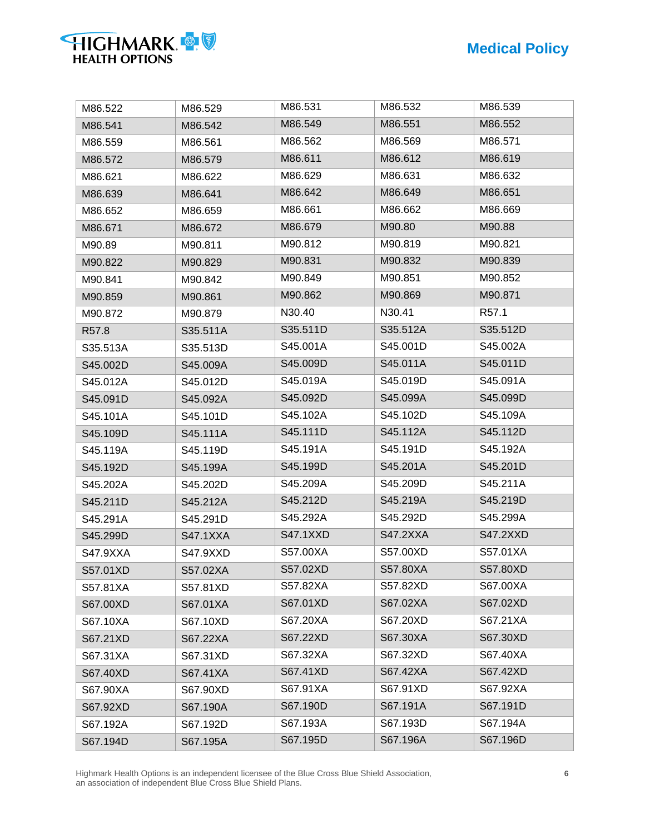| HIGHMARK &            |  |
|-----------------------|--|
| <b>HEALTH OPTIONS</b> |  |

| M86.522  | M86.529         | M86.531         | M86.532         | M86.539           |
|----------|-----------------|-----------------|-----------------|-------------------|
| M86.541  | M86.542         | M86.549         | M86.551         | M86.552           |
| M86.559  | M86.561         | M86.562         | M86.569         | M86.571           |
| M86.572  | M86.579         | M86.611         | M86.612         | M86.619           |
| M86.621  | M86.622         | M86.629         | M86.631         | M86.632           |
| M86.639  | M86.641         | M86.642         | M86.649         | M86.651           |
| M86.652  | M86.659         | M86.661         | M86.662         | M86.669           |
| M86.671  | M86.672         | M86.679         | M90.80          | M90.88            |
| M90.89   | M90.811         | M90.812         | M90.819         | M90.821           |
| M90.822  | M90.829         | M90.831         | M90.832         | M90.839           |
| M90.841  | M90.842         | M90.849         | M90.851         | M90.852           |
| M90.859  | M90.861         | M90.862         | M90.869         | M90.871           |
| M90.872  | M90.879         | N30.40          | N30.41          | R <sub>57.1</sub> |
| R57.8    | S35.511A        | S35.511D        | S35.512A        | S35.512D          |
| S35.513A | S35.513D        | S45.001A        | S45.001D        | S45.002A          |
| S45.002D | S45.009A        | S45.009D        | S45.011A        | S45.011D          |
| S45.012A | S45.012D        | S45.019A        | S45.019D        | S45.091A          |
| S45.091D | S45.092A        | S45.092D        | S45.099A        | S45.099D          |
| S45.101A | S45.101D        | S45.102A        | S45.102D        | S45.109A          |
| S45.109D | S45.111A        | S45.111D        | S45.112A        | S45.112D          |
| S45.119A | S45.119D        | S45.191A        | S45.191D        | S45.192A          |
| S45.192D | S45.199A        | S45.199D        | S45.201A        | S45.201D          |
| S45.202A | S45.202D        | S45.209A        | S45.209D        | S45.211A          |
| S45.211D | S45.212A        | S45.212D        | S45.219A        | S45.219D          |
| S45.291A | S45.291D        | S45.292A        | S45.292D        | S45.299A          |
| S45.299D | <b>S47.1XXA</b> | <b>S47.1XXD</b> | <b>S47.2XXA</b> | <b>S47.2XXD</b>   |
| S47.9XXA | S47.9XXD        | S57.00XA        | S57.00XD        | S57.01XA          |
| S57.01XD | S57.02XA        | S57.02XD        | S57.80XA        | S57.80XD          |
| S57.81XA | S57.81XD        | S57.82XA        | S57.82XD        | S67.00XA          |
| S67.00XD | S67.01XA        | S67.01XD        | S67.02XA        | S67.02XD          |
| S67.10XA | S67.10XD        | S67.20XA        | S67.20XD        | S67.21XA          |
| S67.21XD | S67.22XA        | S67.22XD        | S67.30XA        | S67.30XD          |
| S67.31XA | S67.31XD        | S67.32XA        | S67.32XD        | S67.40XA          |
| S67.40XD | S67.41XA        | S67.41XD        | S67.42XA        | S67.42XD          |
| S67.90XA | S67.90XD        | S67.91XA        | S67.91XD        | S67.92XA          |
| S67.92XD | S67.190A        | S67.190D        | S67.191A        | S67.191D          |
| S67.192A | S67.192D        | S67.193A        | S67.193D        | S67.194A          |
| S67.194D | S67.195A        | S67.195D        | S67.196A        | S67.196D          |

Highmark Health Options is an independent licensee of the Blue Cross Blue Shield Association, **6** an association of independent Blue Cross Blue Shield Plans.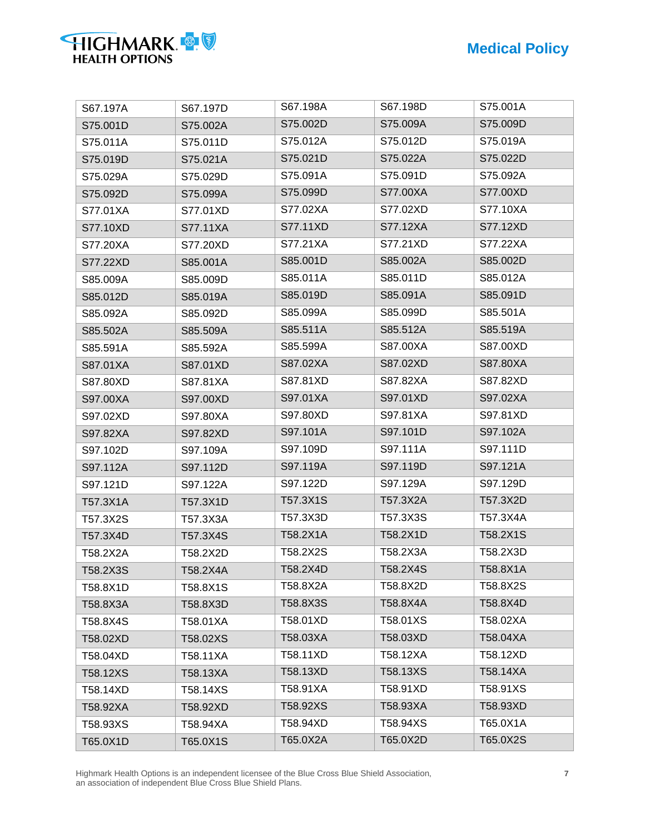| S67.197A | S67.197D | S67.198A | S67.198D | S75.001A |
|----------|----------|----------|----------|----------|
| S75.001D | S75.002A | S75.002D | S75.009A | S75.009D |
| S75.011A | S75.011D | S75.012A | S75.012D | S75.019A |
| S75.019D | S75.021A | S75.021D | S75.022A | S75.022D |
| S75.029A | S75.029D | S75.091A | S75.091D | S75.092A |
| S75.092D | S75.099A | S75.099D | S77.00XA | S77.00XD |
| S77.01XA | S77.01XD | S77.02XA | S77.02XD | S77.10XA |
| S77.10XD | S77.11XA | S77.11XD | S77.12XA | S77.12XD |
| S77.20XA | S77.20XD | S77.21XA | S77.21XD | S77.22XA |
| S77.22XD | S85.001A | S85.001D | S85.002A | S85.002D |
| S85.009A | S85.009D | S85.011A | S85.011D | S85.012A |
| S85.012D | S85.019A | S85.019D | S85.091A | S85.091D |
| S85.092A | S85.092D | S85.099A | S85.099D | S85.501A |
| S85.502A | S85.509A | S85.511A | S85.512A | S85.519A |
| S85.591A | S85.592A | S85.599A | S87.00XA | S87.00XD |
| S87.01XA | S87.01XD | S87.02XA | S87.02XD | S87.80XA |
| S87.80XD | S87.81XA | S87.81XD | S87.82XA | S87.82XD |
| S97.00XA | S97.00XD | S97.01XA | S97.01XD | S97.02XA |
| S97.02XD | S97.80XA | S97.80XD | S97.81XA | S97.81XD |
| S97.82XA | S97.82XD | S97.101A | S97.101D | S97.102A |
| S97.102D | S97.109A | S97.109D | S97.111A | S97.111D |
| S97.112A | S97.112D | S97.119A | S97.119D | S97.121A |
| S97.121D | S97.122A | S97.122D | S97.129A | S97.129D |
| T57.3X1A | T57.3X1D | T57.3X1S | T57.3X2A | T57.3X2D |
| T57.3X2S | T57.3X3A | T57.3X3D | T57.3X3S | T57.3X4A |
| T57.3X4D | T57.3X4S | T58.2X1A | T58.2X1D | T58.2X1S |
| T58.2X2A | T58.2X2D | T58.2X2S | T58.2X3A | T58.2X3D |
| T58.2X3S | T58.2X4A | T58.2X4D | T58.2X4S | T58.8X1A |
| T58.8X1D | T58.8X1S | T58.8X2A | T58.8X2D | T58.8X2S |
| T58.8X3A | T58.8X3D | T58.8X3S | T58.8X4A | T58.8X4D |
| T58.8X4S | T58.01XA | T58.01XD | T58.01XS | T58.02XA |
| T58.02XD | T58.02XS | T58.03XA | T58.03XD | T58.04XA |
| T58.04XD | T58.11XA | T58.11XD | T58.12XA | T58.12XD |
| T58.12XS | T58.13XA | T58.13XD | T58.13XS | T58.14XA |
| T58.14XD | T58.14XS | T58.91XA | T58.91XD | T58.91XS |
| T58.92XA | T58.92XD | T58.92XS | T58.93XA | T58.93XD |
| T58.93XS | T58.94XA | T58.94XD | T58.94XS | T65.0X1A |
| T65.0X1D | T65.0X1S | T65.0X2A | T65.0X2D | T65.0X2S |
|          |          |          |          |          |

Highmark Health Options is an independent licensee of the Blue Cross Blue Shield Association, **7** an association of independent Blue Cross Blue Shield Plans.

**HIGHMARK**